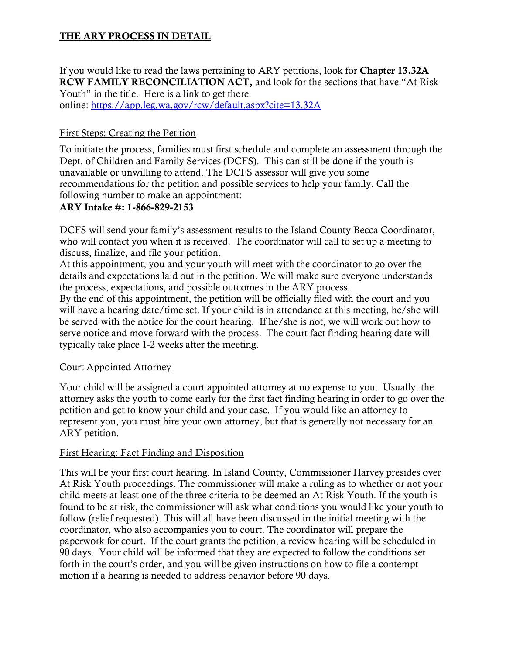# THE ARY PROCESS IN DETAIL

If you would like to read the laws pertaining to ARY petitions, look for Chapter 13.32A RCW FAMILY RECONCILIATION ACT, and look for the sections that have "At Risk Youth" in the title. Here is a link to get there online:<https://app.leg.wa.gov/rcw/default.aspx?cite=13.32A>

## First Steps: Creating the Petition

To initiate the process, families must first schedule and complete an assessment through the Dept. of Children and Family Services (DCFS). This can still be done if the youth is unavailable or unwilling to attend. The DCFS assessor will give you some recommendations for the petition and possible services to help your family. Call the following number to make an appointment:

### ARY Intake #: 1-866-829-2153

DCFS will send your family's assessment results to the Island County Becca Coordinator, who will contact you when it is received. The coordinator will call to set up a meeting to discuss, finalize, and file your petition.

At this appointment, you and your youth will meet with the coordinator to go over the details and expectations laid out in the petition. We will make sure everyone understands the process, expectations, and possible outcomes in the ARY process.

By the end of this appointment, the petition will be officially filed with the court and you will have a hearing date/time set. If your child is in attendance at this meeting, he/she will be served with the notice for the court hearing. If he/she is not, we will work out how to serve notice and move forward with the process. The court fact finding hearing date will typically take place 1-2 weeks after the meeting.

#### Court Appointed Attorney

Your child will be assigned a court appointed attorney at no expense to you. Usually, the attorney asks the youth to come early for the first fact finding hearing in order to go over the petition and get to know your child and your case. If you would like an attorney to represent you, you must hire your own attorney, but that is generally not necessary for an ARY petition.

#### First Hearing: Fact Finding and Disposition

This will be your first court hearing. In Island County, Commissioner Harvey presides over At Risk Youth proceedings. The commissioner will make a ruling as to whether or not your child meets at least one of the three criteria to be deemed an At Risk Youth. If the youth is found to be at risk, the commissioner will ask what conditions you would like your youth to follow (relief requested). This will all have been discussed in the initial meeting with the coordinator, who also accompanies you to court. The coordinator will prepare the paperwork for court. If the court grants the petition, a review hearing will be scheduled in 90 days. Your child will be informed that they are expected to follow the conditions set forth in the court's order, and you will be given instructions on how to file a contempt motion if a hearing is needed to address behavior before 90 days.